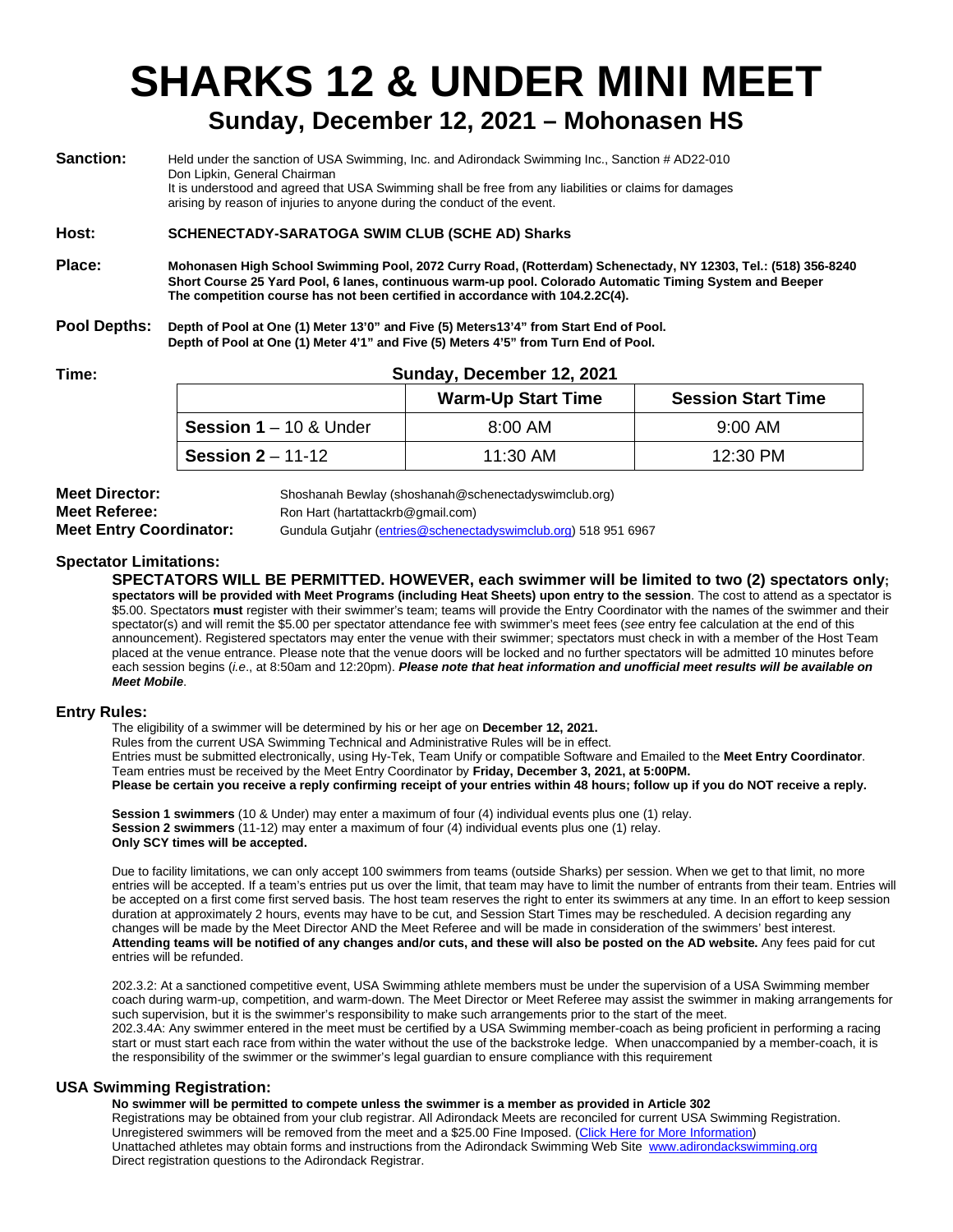# **SHARKS 12 & UNDER MINI MEET**

## **Sunday, December 12, 2021 – Mohonasen HS**

| <b>Sanction:</b> | Held under the sanction of USA Swimming, Inc. and Adirondack Swimming Inc., Sanction # AD22-010<br>Don Lipkin, General Chairman<br>It is understood and agreed that USA Swimming shall be free from any liabilities or claims for damages<br>arising by reason of injuries to anyone during the conduct of the event. |  |  |
|------------------|-----------------------------------------------------------------------------------------------------------------------------------------------------------------------------------------------------------------------------------------------------------------------------------------------------------------------|--|--|
| Host:            | <b>SCHENECTADY-SARATOGA SWIM CLUB (SCHE AD) Sharks</b>                                                                                                                                                                                                                                                                |  |  |
| Place:           | Mohonasen High School Swimming Pool, 2072 Curry Road, (Rotterdam) Schenectady, NY 12303, Tel.: (518) 356-8240<br>Short Course 25 Yard Pool, 6 lanes, continuous warm-up pool. Colorado Automatic Timing System and Beeper<br>The competition course has not been certified in accordance with 104.2.2C(4).            |  |  |
| Pool Depths:     | Depth of Pool at One (1) Meter 13'0" and Five (5) Meters13'4" from Start End of Pool.<br>Depth of Pool at One (1) Meter 4'1" and Five (5) Meters 4'5" from Turn End of Pool.                                                                                                                                          |  |  |
|                  |                                                                                                                                                                                                                                                                                                                       |  |  |

#### **Time: Sunday, December 12, 2021**

|                                   | <b>Warm-Up Start Time</b> | <b>Session Start Time</b> |
|-----------------------------------|---------------------------|---------------------------|
| <b>Session 1 – 10 &amp; Under</b> | $8:00$ AM                 | $9:00 \, \text{AM}$       |
| <b>Session 2</b> – 11-12          | $11:30$ AM                | $12:30 \text{ PM}$        |

**Meet Director:** Shoshanah Bewlay (shoshanah@schenectadyswimclub.org)<br>**Meet Referee:** Show Ron Hart (hartattackrb@gmail.com) **Meet Referee:** Ron Hart (hartattackrb@gmail.com)

**Meet Entry Coordinator:** Gundula Gutjahr [\(entries@schenectadyswimclub.org\)](mailto:entries@schenectadyswimclub.org) 518 951 6967

#### **Spectator Limitations:**

**SPECTATORS WILL BE PERMITTED. HOWEVER, each swimmer will be limited to two (2) spectators only; spectators will be provided with Meet Programs (including Heat Sheets) upon entry to the session**. The cost to attend as a spectator is \$5.00. Spectators **must** register with their swimmer's team; teams will provide the Entry Coordinator with the names of the swimmer and their spectator(s) and will remit the \$5.00 per spectator attendance fee with swimmer's meet fees (*see* entry fee calculation at the end of this announcement). Registered spectators may enter the venue with their swimmer; spectators must check in with a member of the Host Team placed at the venue entrance. Please note that the venue doors will be locked and no further spectators will be admitted 10 minutes before each session begins (*i.e*., at 8:50am and 12:20pm). *Please note that heat information and unofficial meet results will be available on Meet Mobile*.

#### **Entry Rules:**

The eligibility of a swimmer will be determined by his or her age on **December 12, 2021.**

Rules from the current USA Swimming Technical and Administrative Rules will be in effect.

Entries must be submitted electronically, using Hy-Tek, Team Unify or compatible Software and Emailed to the **Meet Entry Coordinator**. Team entries must be received by the Meet Entry Coordinator by **Friday, December 3, 2021, at 5:00PM.**

**Please be certain you receive a reply confirming receipt of your entries within 48 hours; follow up if you do NOT receive a reply.**

**Session 1 swimmers** (10 & Under) may enter a maximum of four (4) individual events plus one (1) relay. **Session 2 swimmers** (11-12) may enter a maximum of four (4) individual events plus one (1) relay. **Only SCY times will be accepted.**

Due to facility limitations, we can only accept 100 swimmers from teams (outside Sharks) per session. When we get to that limit, no more entries will be accepted. If a team's entries put us over the limit, that team may have to limit the number of entrants from their team. Entries will be accepted on a first come first served basis. The host team reserves the right to enter its swimmers at any time. In an effort to keep session duration at approximately 2 hours, events may have to be cut, and Session Start Times may be rescheduled. A decision regarding any changes will be made by the Meet Director AND the Meet Referee and will be made in consideration of the swimmers' best interest. **Attending teams will be notified of any changes and/or cuts, and these will also be posted on the AD website.** Any fees paid for cut entries will be refunded.

202.3.2: At a sanctioned competitive event, USA Swimming athlete members must be under the supervision of a USA Swimming member coach during warm-up, competition, and warm-down. The Meet Director or Meet Referee may assist the swimmer in making arrangements for such supervision, but it is the swimmer's responsibility to make such arrangements prior to the start of the meet. 202.3.4A: Any swimmer entered in the meet must be certified by a USA Swimming member-coach as being proficient in performing a racing start or must start each race from within the water without the use of the backstroke ledge. When unaccompanied by a member-coach, it is the responsibility of the swimmer or the swimmer's legal guardian to ensure compliance with this requirement

#### **USA Swimming Registration:**

**No swimmer will be permitted to compete unless the swimmer is a member as provided in Article 302** Registrations may be obtained from your club registrar. All Adirondack Meets are reconciled for current USA Swimming Registration. Unregistered swimmers will be removed from the meet and a \$25.00 Fine Imposed. (Click Here for More Information) Unattached athletes may obtain forms and instructions from the Adirondack Swimming Web Site [www.adirondackswimming.org](http://www.adirondackswimming.org/) Direct registration questions to the Adirondack Registrar.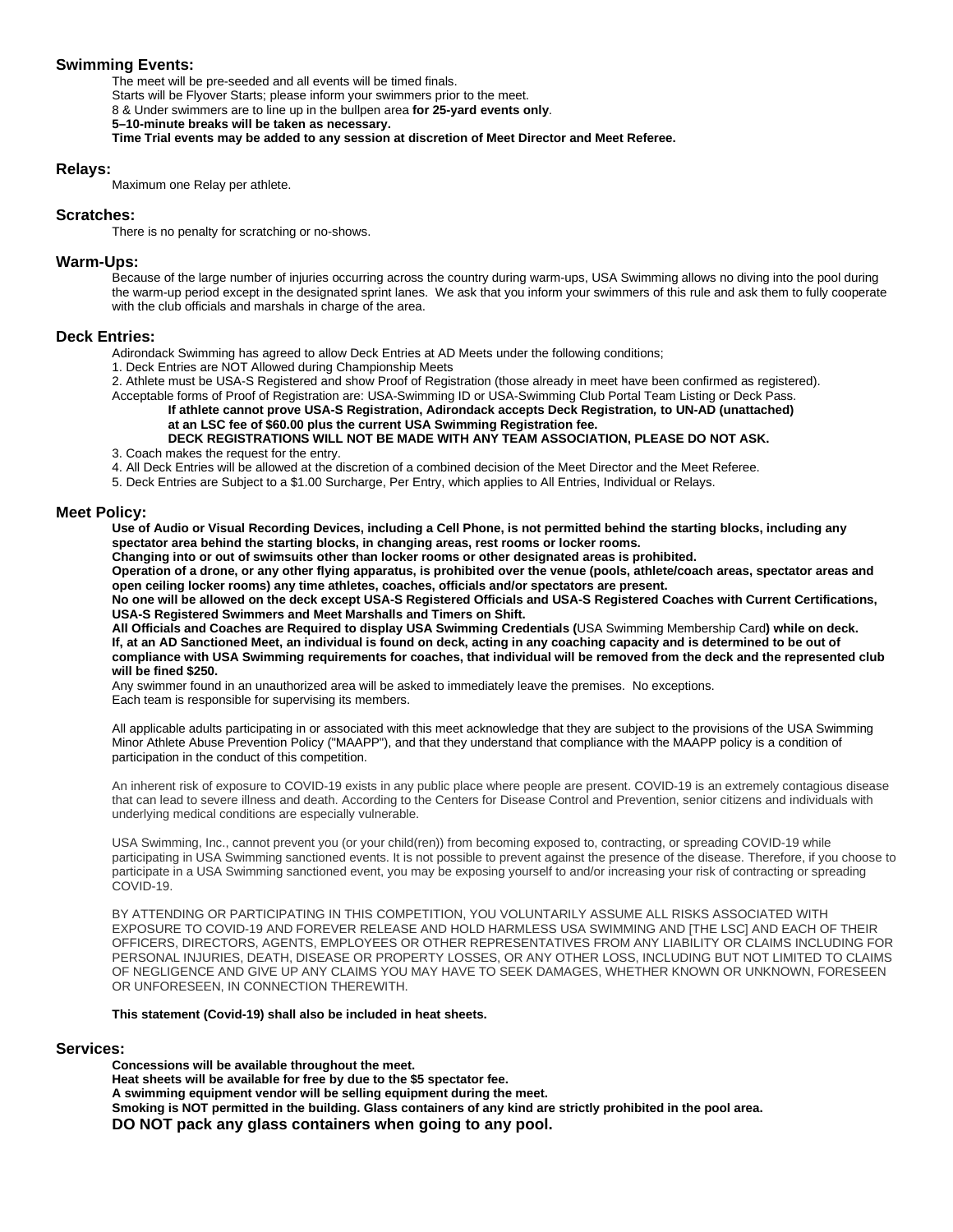#### **Swimming Events:**

The meet will be pre-seeded and all events will be timed finals. Starts will be Flyover Starts; please inform your swimmers prior to the meet. 8 & Under swimmers are to line up in the bullpen area **for 25-yard events only**. **5–10-minute breaks will be taken as necessary. Time Trial events may be added to any session at discretion of Meet Director and Meet Referee.**

#### **Relays:**

Maximum one Relay per athlete.

#### **Scratches:**

There is no penalty for scratching or no-shows.

#### **Warm-Ups:**

Because of the large number of injuries occurring across the country during warm-ups, USA Swimming allows no diving into the pool during the warm-up period except in the designated sprint lanes. We ask that you inform your swimmers of this rule and ask them to fully cooperate with the club officials and marshals in charge of the area.

#### **Deck Entries:**

Adirondack Swimming has agreed to allow Deck Entries at AD Meets under the following conditions;

1. Deck Entries are NOT Allowed during Championship Meets

2. Athlete must be USA-S Registered and show Proof of Registration (those already in meet have been confirmed as registered).

Acceptable forms of Proof of Registration are: USA-Swimming ID or USA-Swimming Club Portal Team Listing or Deck Pass.

**If athlete cannot prove USA-S Registration, Adirondack accepts Deck Registration***,* **to UN-AD (unattached) at an LSC fee of \$60.00 plus the current USA Swimming Registration fee. DECK REGISTRATIONS WILL NOT BE MADE WITH ANY TEAM ASSOCIATION, PLEASE DO NOT ASK.**

3. Coach makes the request for the entry.

4. All Deck Entries will be allowed at the discretion of a combined decision of the Meet Director and the Meet Referee.

5. Deck Entries are Subject to a \$1.00 Surcharge, Per Entry, which applies to All Entries, Individual or Relays.

#### **Meet Policy:**

**Use of Audio or Visual Recording Devices, including a Cell Phone, is not permitted behind the starting blocks, including any spectator area behind the starting blocks, in changing areas, rest rooms or locker rooms.**

**Changing into or out of swimsuits other than locker rooms or other designated areas is prohibited.** 

**Operation of a drone, or any other flying apparatus, is prohibited over the venue (pools, athlete/coach areas, spectator areas and open ceiling locker rooms) any time athletes, coaches, officials and/or spectators are present.**

**No one will be allowed on the deck except USA-S Registered Officials and USA-S Registered Coaches with Current Certifications, USA-S Registered Swimmers and Meet Marshalls and Timers on Shift.**

**All Officials and Coaches are Required to display USA Swimming Credentials (**USA Swimming Membership Card**) while on deck. If, at an AD Sanctioned Meet, an individual is found on deck, acting in any coaching capacity and is determined to be out of compliance with USA Swimming requirements for coaches, that individual will be removed from the deck and the represented club will be fined \$250.**

Any swimmer found in an unauthorized area will be asked to immediately leave the premises. No exceptions. Each team is responsible for supervising its members.

All applicable adults participating in or associated with this meet acknowledge that they are subject to the provisions of the USA Swimming Minor Athlete Abuse Prevention Policy ("MAAPP"), and that they understand that compliance with the MAAPP policy is a condition of participation in the conduct of this competition.

An inherent risk of exposure to COVID-19 exists in any public place where people are present. COVID-19 is an extremely contagious disease that can lead to severe illness and death. According to the Centers for Disease Control and Prevention, senior citizens and individuals with underlying medical conditions are especially vulnerable.

USA Swimming, Inc., cannot prevent you (or your child(ren)) from becoming exposed to, contracting, or spreading COVID-19 while participating in USA Swimming sanctioned events. It is not possible to prevent against the presence of the disease. Therefore, if you choose to participate in a USA Swimming sanctioned event, you may be exposing yourself to and/or increasing your risk of contracting or spreading COVID-19.

BY ATTENDING OR PARTICIPATING IN THIS COMPETITION, YOU VOLUNTARILY ASSUME ALL RISKS ASSOCIATED WITH EXPOSURE TO COVID-19 AND FOREVER RELEASE AND HOLD HARMLESS USA SWIMMING AND [THE LSC] AND EACH OF THEIR OFFICERS, DIRECTORS, AGENTS, EMPLOYEES OR OTHER REPRESENTATIVES FROM ANY LIABILITY OR CLAIMS INCLUDING FOR PERSONAL INJURIES, DEATH, DISEASE OR PROPERTY LOSSES, OR ANY OTHER LOSS, INCLUDING BUT NOT LIMITED TO CLAIMS OF NEGLIGENCE AND GIVE UP ANY CLAIMS YOU MAY HAVE TO SEEK DAMAGES, WHETHER KNOWN OR UNKNOWN, FORESEEN OR UNFORESEEN, IN CONNECTION THEREWITH.

#### **This statement (Covid-19) shall also be included in heat sheets.**

#### **Services:**

**Concessions will be available throughout the meet. Heat sheets will be available for free by due to the \$5 spectator fee. A swimming equipment vendor will be selling equipment during the meet. Smoking is NOT permitted in the building. Glass containers of any kind are strictly prohibited in the pool area. DO NOT pack any glass containers when going to any pool.**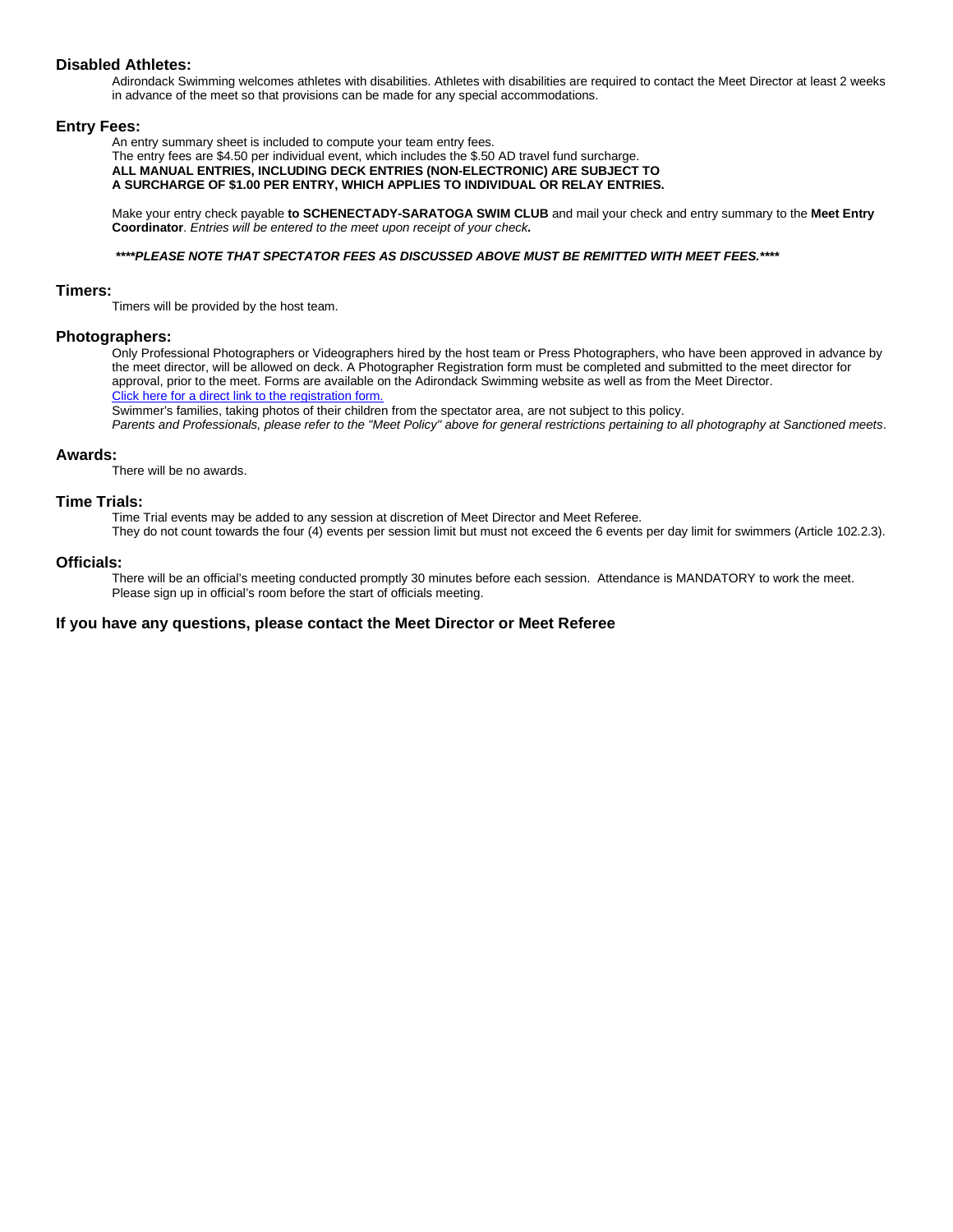#### **Disabled Athletes:**

Adirondack Swimming welcomes athletes with disabilities. Athletes with disabilities are required to contact the Meet Director at least 2 weeks in advance of the meet so that provisions can be made for any special accommodations.

#### **Entry Fees:**

An entry summary sheet is included to compute your team entry fees.

The entry fees are \$4.50 per individual event, which includes the \$.50 AD travel fund surcharge. **ALL MANUAL ENTRIES, INCLUDING DECK ENTRIES (NON-ELECTRONIC) ARE SUBJECT TO A SURCHARGE OF \$1.00 PER ENTRY, WHICH APPLIES TO INDIVIDUAL OR RELAY ENTRIES.**

Make your entry check payable **to SCHENECTADY-SARATOGA SWIM CLUB** and mail your check and entry summary to the **Meet Entry Coordinator**. *Entries will be entered to the meet upon receipt of your check.*

#### *\*\*\*\*PLEASE NOTE THAT SPECTATOR FEES AS DISCUSSED ABOVE MUST BE REMITTED WITH MEET FEES.\*\*\*\**

#### **Timers:**

Timers will be provided by the host team.

#### **Photographers:**

Only Professional Photographers or Videographers hired by the host team or Press Photographers, who have been approved in advance by the meet director, will be allowed on deck. A Photographer Registration form must be completed and submitted to the meet director for approval, prior to the meet. Forms are available on the Adirondack Swimming website as well as from the Meet Director. Click here for a direct link to the registration form.

Swimmer's families, taking photos of their children from the spectator area, are not subject to this policy.

*Parents and Professionals, please refer to the "Meet Policy" above for general restrictions pertaining to all photography at Sanctioned meets*.

#### **Awards:**

There will be no awards.

#### **Time Trials:**

Time Trial events may be added to any session at discretion of Meet Director and Meet Referee.

They do not count towards the four (4) events per session limit but must not exceed the 6 events per day limit for swimmers (Article 102.2.3).

#### **Officials:**

There will be an official's meeting conducted promptly 30 minutes before each session. Attendance is MANDATORY to work the meet. Please sign up in official's room before the start of officials meeting.

#### **If you have any questions, please contact the Meet Director or Meet Referee**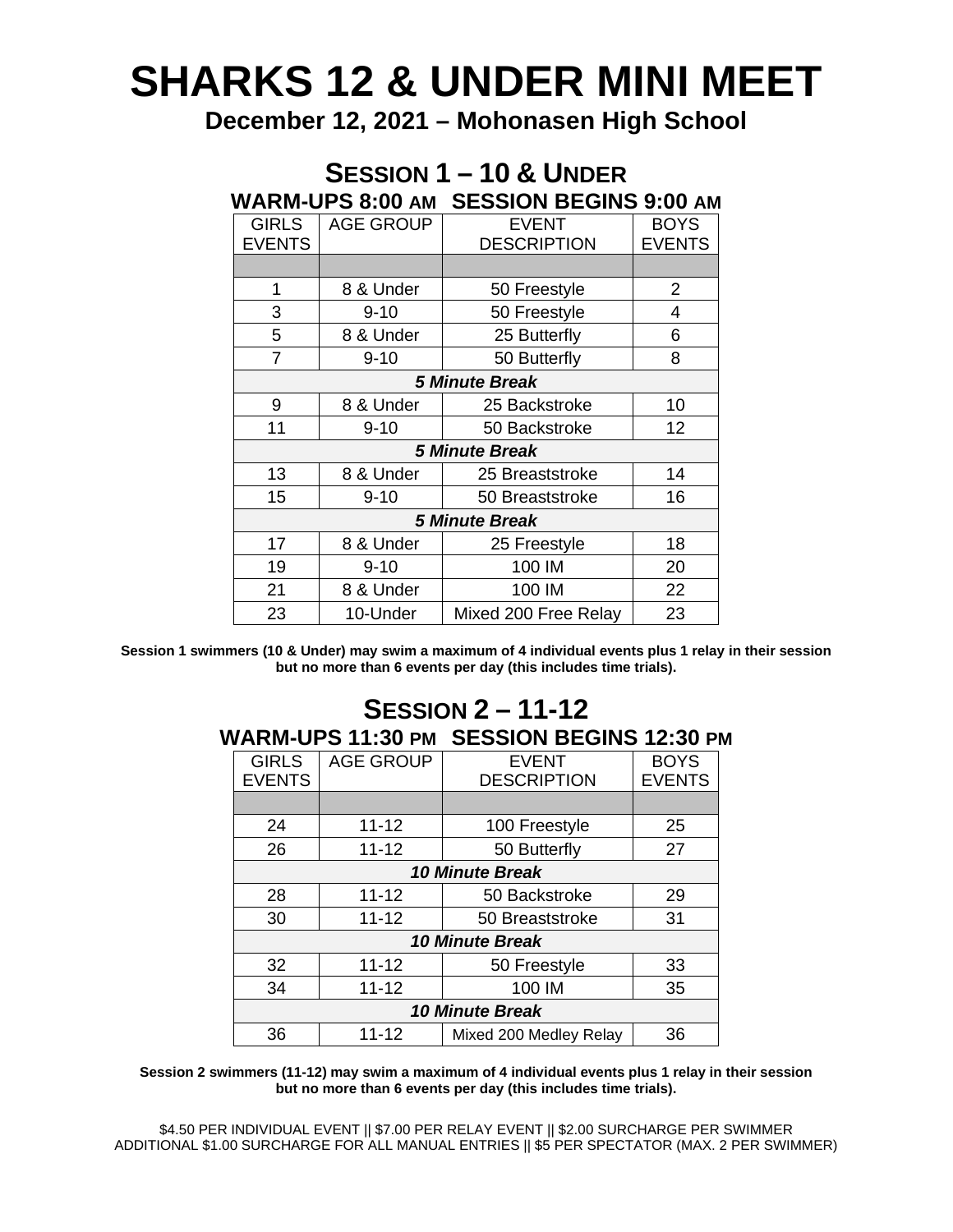# **SHARKS 12 & UNDER MINI MEET**

**December 12, 2021 – Mohonasen High School**

## **SESSION 1 – 10 & UNDER WARM-UPS 8:00 AM SESSION BEGINS 9:00 AM**

| <b>GIRLS</b>          | <b>AGE GROUP</b> | <b>EVENT</b>         | <b>BOYS</b>   |  |  |
|-----------------------|------------------|----------------------|---------------|--|--|
| <b>EVENTS</b>         |                  | <b>DESCRIPTION</b>   | <b>EVENTS</b> |  |  |
|                       |                  |                      |               |  |  |
| 1                     | 8 & Under        | 50 Freestyle         | 2             |  |  |
| 3                     | $9 - 10$         | 50 Freestyle         | 4             |  |  |
| 5                     | 8 & Under        | 25 Butterfly         | 6             |  |  |
| $\overline{7}$        | $9 - 10$         | 50 Butterfly         | 8             |  |  |
| <b>5 Minute Break</b> |                  |                      |               |  |  |
| 9                     | 8 & Under        | 25 Backstroke        | 10            |  |  |
| 11                    | $9 - 10$         | 50 Backstroke        | 12            |  |  |
| <b>5 Minute Break</b> |                  |                      |               |  |  |
| 13                    | 8 & Under        | 25 Breaststroke      | 14            |  |  |
| 15                    | $9 - 10$         | 50 Breaststroke      | 16            |  |  |
| <b>5 Minute Break</b> |                  |                      |               |  |  |
| 17                    | 8 & Under        | 25 Freestyle         | 18            |  |  |
| 19                    | $9 - 10$         | 100 IM               | 20            |  |  |
| 21                    | 8 & Under        | 100 IM               | 22            |  |  |
| 23                    | 10-Under         | Mixed 200 Free Relay | 23            |  |  |

**Session 1 swimmers (10 & Under) may swim a maximum of 4 individual events plus 1 relay in their session but no more than 6 events per day (this includes time trials).**

### **SESSION 2 – 11-12 WARM-UPS 11:30 PM SESSION BEGINS 12:30 PM**

| <b>GIRLS</b>           | <b>AGE GROUP</b> | <b>EVENT</b>           | <b>BOYS</b>   |  |  |
|------------------------|------------------|------------------------|---------------|--|--|
| <b>EVENTS</b>          |                  | <b>DESCRIPTION</b>     | <b>EVENTS</b> |  |  |
|                        |                  |                        |               |  |  |
| 24                     | $11 - 12$        | 100 Freestyle          | 25            |  |  |
| 26                     | $11 - 12$        | 50 Butterfly           | 27            |  |  |
| <b>10 Minute Break</b> |                  |                        |               |  |  |
| 28                     | $11 - 12$        | 50 Backstroke          | 29            |  |  |
| 30                     | $11 - 12$        | 50 Breaststroke        | 31            |  |  |
| <b>10 Minute Break</b> |                  |                        |               |  |  |
| 32                     | $11 - 12$        | 50 Freestyle           | 33            |  |  |
| 34                     | $11 - 12$        | 100 IM                 | 35            |  |  |
| <b>10 Minute Break</b> |                  |                        |               |  |  |
| 36                     | $11 - 12$        | Mixed 200 Medley Relay | 36            |  |  |

**Session 2 swimmers (11-12) may swim a maximum of 4 individual events plus 1 relay in their session but no more than 6 events per day (this includes time trials).**